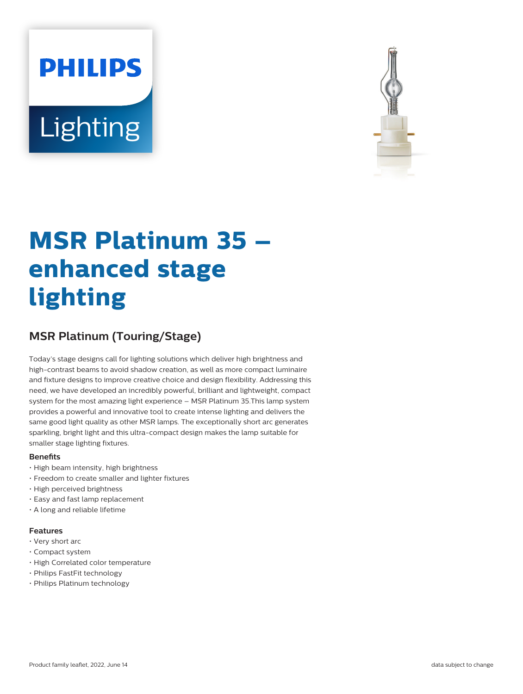# **PHILIPS** Lighting



# **MSR Platinum 35 – enhanced stage lighting**

# **MSR Platinum (Touring/Stage)**

Today's stage designs call for lighting solutions which deliver high brightness and high-contrast beams to avoid shadow creation, as well as more compact luminaire and fixture designs to improve creative choice and design flexibility. Addressing this need, we have developed an incredibly powerful, brilliant and lightweight, compact system for the most amazing light experience – MSR Platinum 35.This lamp system provides a powerful and innovative tool to create intense lighting and delivers the same good light quality as other MSR lamps. The exceptionally short arc generates sparkling, bright light and this ultra-compact design makes the lamp suitable for smaller stage lighting fixtures.

# **Benets**

- High beam intensity, high brightness
- Freedom to create smaller and lighter fixtures
- High perceived brightness
- Easy and fast lamp replacement
- A long and reliable lifetime

# **Features**

- Very short arc
- Compact system
- High Correlated color temperature
- Philips FastFit technology
- Philips Platinum technology